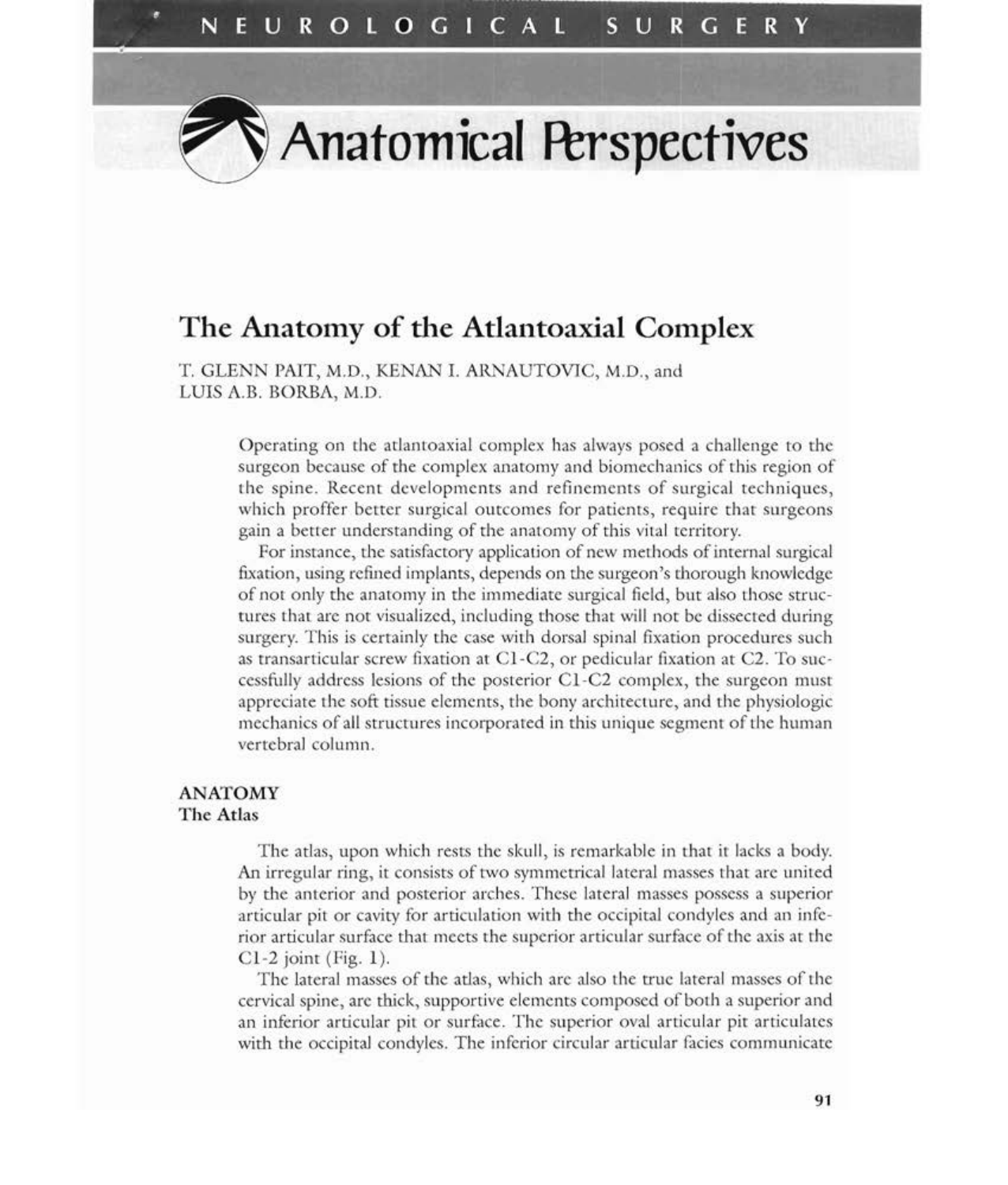# **The Anatomy of the Atlantoaxial Complex**

T. GLENN PAIT, M.D., KENAN 1. ARNAUTOVIC, M.D., and LUIS A.B. BORBA, M.D.

> Operating on the atlantoaxial complex has always posed a challenge to the surgeon because of the complex anatomy and biomechanics of this region of the spine. Recent developments and refinements of surgical techniques, which proffer better surgical outcomes for patients, require that surgeons gain a better understanding of the anatomy of this vital territory.

> For instance, the satisfactory application of new methods of internal surgical fixation, using refined implants, depends on the surgeon's thorough knowledge of not only the anatomy in the immediate surgical field, but also those structures that are not visualized, including those that will not be dissected during surgery. This is certainly the case with dorsal spinal fixation procedures such as transarticular screw fixation at CI-C2, or pedicular fixation at C2. To successfully address lesions of the posterior CI-C2 complex, the surgeon must appreciate the soft tissue elements, the bony architecture, and the physiologic mechanics of all structures incorporated in this unique segment of the human vertebral column.

# **ANATOMY The Atlas**

The atlas, upon which rests the skull, is remarkable in that it lacks a body. An irregular ring, it consists of two symmetrical lateral masses that are united by the anterior and posterior arches. These lateral masses possess a superior articular pit or cavity for articulation with the occipital condyles and an inferior articular surface that meets the superior articular surface ofthe axis at the  $Cl-2$  joint (Fig. 1).

The lateral masses of the atlas, which are also the true lateral masses of the cervical spine, are thick, supportive elements composed of both a superior and an inferior articular pit or surface. The superior oval articular pit articulates with the occipital condyles. The inferior circular articular facies communicate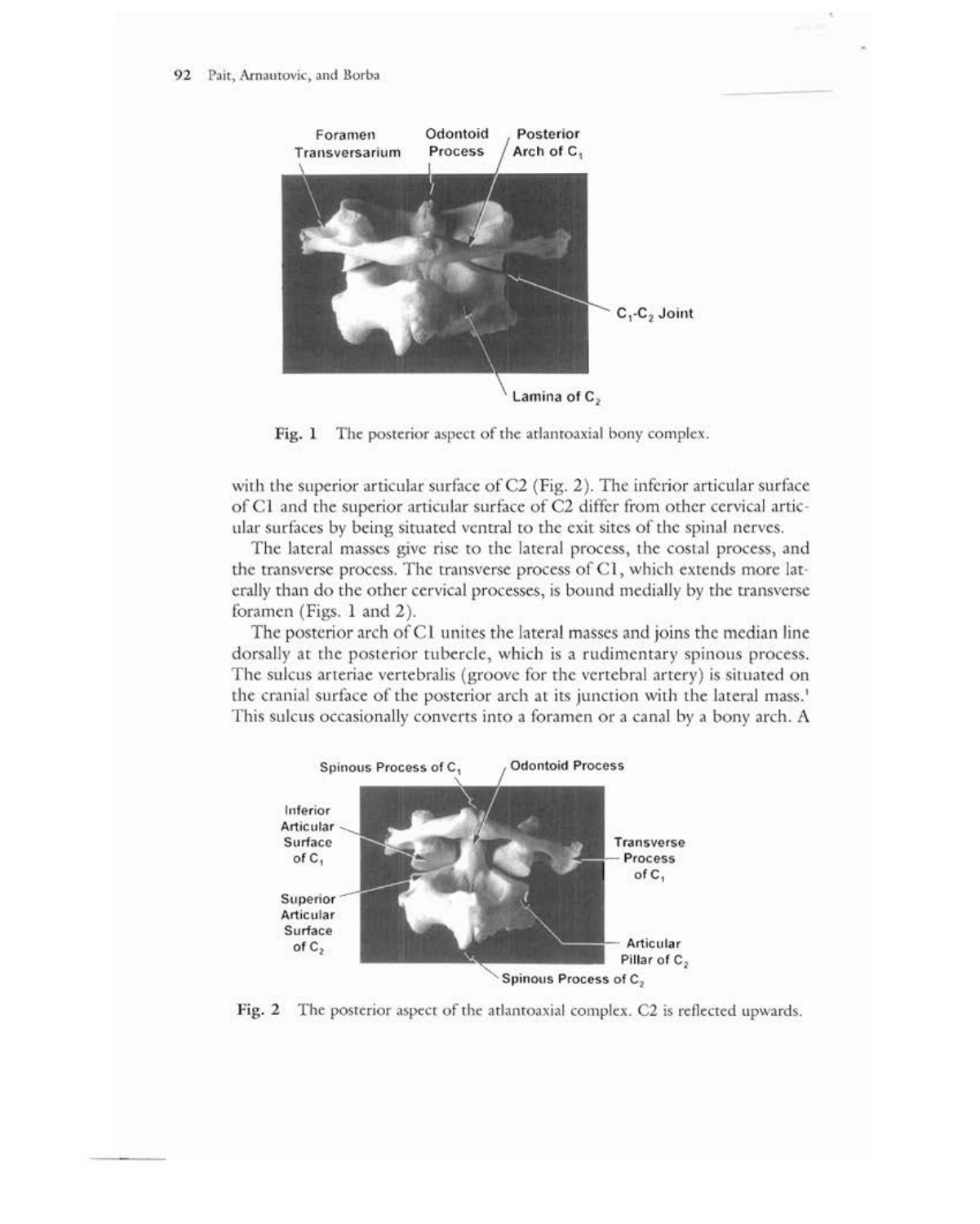

Fig. 1 The posterior aspect of the atlantoaxial bony complex.

with the superior articular surface of  $C2$  (Fig. 2). The inferior articular surface of Cl and the superior articular surface of C2 differ from other cervical articular surfaces by being situated ventral to the exit sites of the spinal nerves.

The lateral masses give rise to the lateral process, the costal process, and the transverse process. The transverse process of Cl, which extends more laterally than do the other cervical processes, is bound medially by the transverse foramen (Figs. 1 and 2).

The posterior arch of C1 unites the lateral masses and joins the median line dorsally at the posterior tubercle, which is a rudimentary spinous process. The sulcus arteriae vertebralis (groove for the vertebral artery) is situated on the cranial surface of the posterior arch at its junction with the lateral mass.<sup>1</sup> This sulcus occasionally converts into a foramen or a canal by a bony arch. A



Fig. 2 The posterior aspect of the atlantoaxial complex. C2 is reflected upwards.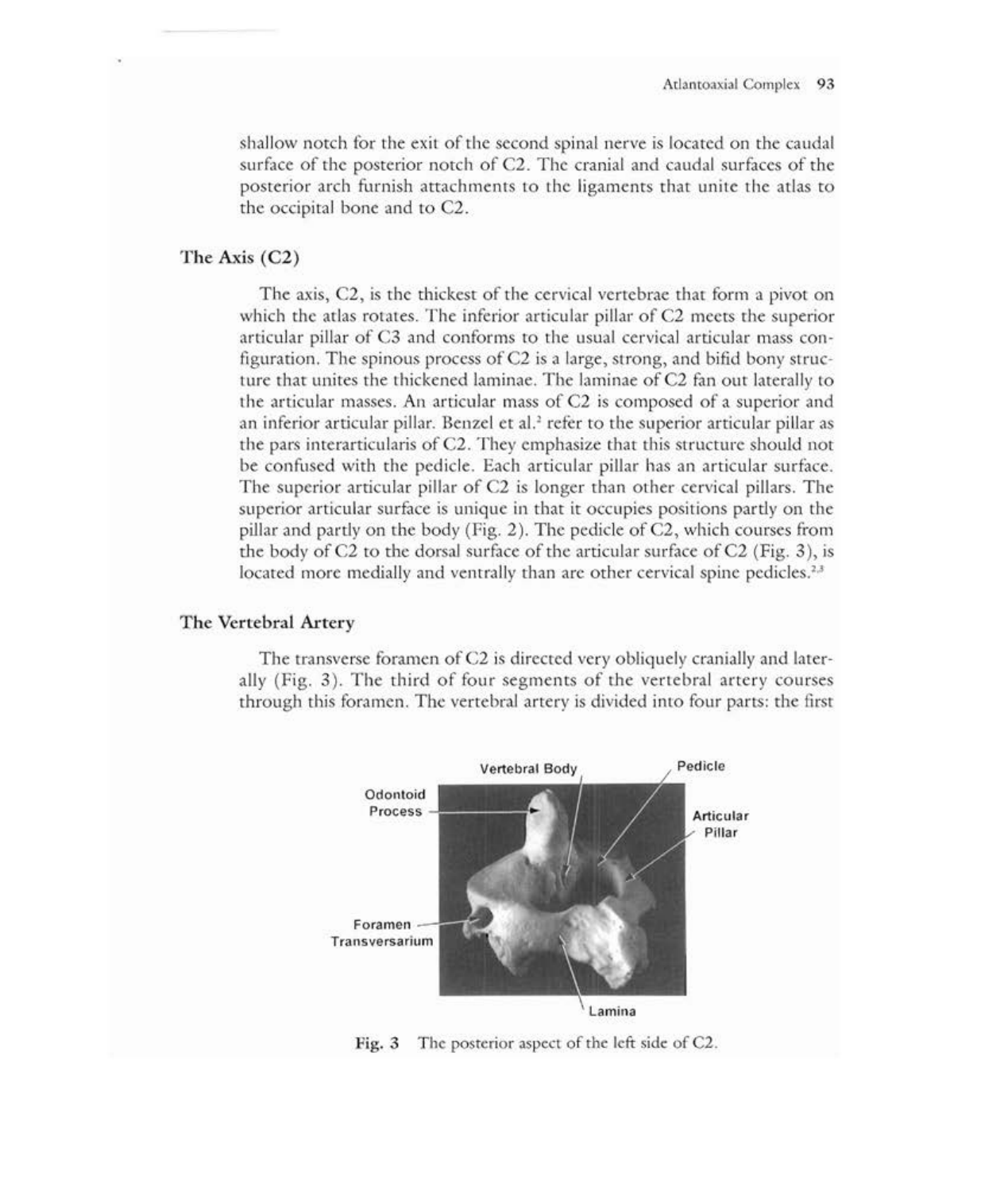shallow notch for the exit of the second spinal nerve is located on the caudal surface of the posterior notch of C2. The cranial and caudal surfaces of the posterior arch furnish attachments to the ligaments that unite the atlas to the occipital bone and to C2.

# The Axis (C2)

The axis, C2, is the thickest of the cervical vertebrae that form a pivot on which the atlas rotates. The inferior articular pillar of C2 meets the superior articular pillar of C3 and conforms to the usual cervical articular mass configuration. The spinous process of C2 is a large, strong, and bifid bony structure that unites the thickened laminae. The laminae of C2 fan out laterally to the articular masses. An articular mass of C2 is composed of a superior and an inferior articular pillar. Benzel et al.<sup>2</sup> refer to the superior articular pillar as the pars interarticularis of C2. They emphasize that this structure should not be confused with the pedicle. Each articular pillar has an articular surface. The superior articular pillar of C2 is longer than other cervical pillars. The superior articular surface is unique in that it occupies positions partly on the pillar and partly on the body (Fig.  $2$ ). The pedicle of C2, which courses from the body of  $C2$  to the dorsal surface of the articular surface of  $C2$  (Fig. 3), is located more medially and ventrally than are other cervical spine pedicles.<sup>2,3</sup>

### The Vertebral Artery

The transverse foramen of C2 is directed very obliquely cranially and laterally (Fig. 3). The third of four segments of the vertebral artery courses through this foramen. The vertebral artery is divided into four parts: the first



Fig. 3 The posterior aspect of the left side of C2.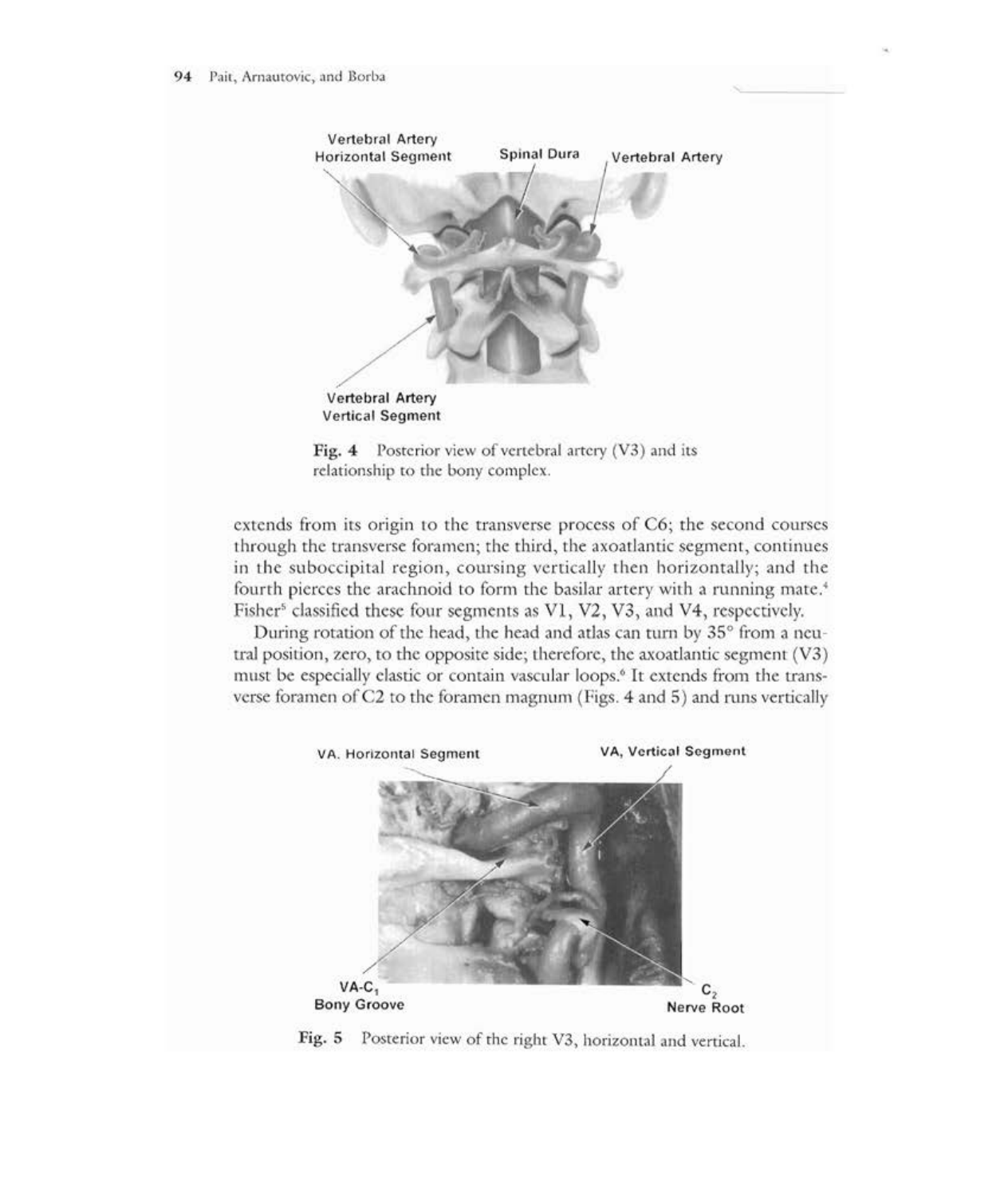



extends from its origin to the transverse process of C6; the second courses through the transverse foramen; the third, the axoatlantic segment, continues in the suboccipital region, coursing vertically then horizontally; and the fourth pierces the arachnoid to form the basilar artery with a running mate.<sup>4</sup> Fisher<sup>5</sup> classified these four segments as V1, V2, V3, and V4, respectively.

During rotation of the head, the head and atlas can turn by 35° from a neutral position, zero, to the opposite side; therefore, the axoatlantic segment  $(V3)$ must be especially elastic or contain vascular loops.<sup>6</sup> It extends from the transverse foramen ofC2 to the foramen magnum (Figs. 4 and 5) and runs vertically



Fig. 5 Posterior view of the right V3, horizontal and vertical.

,~-----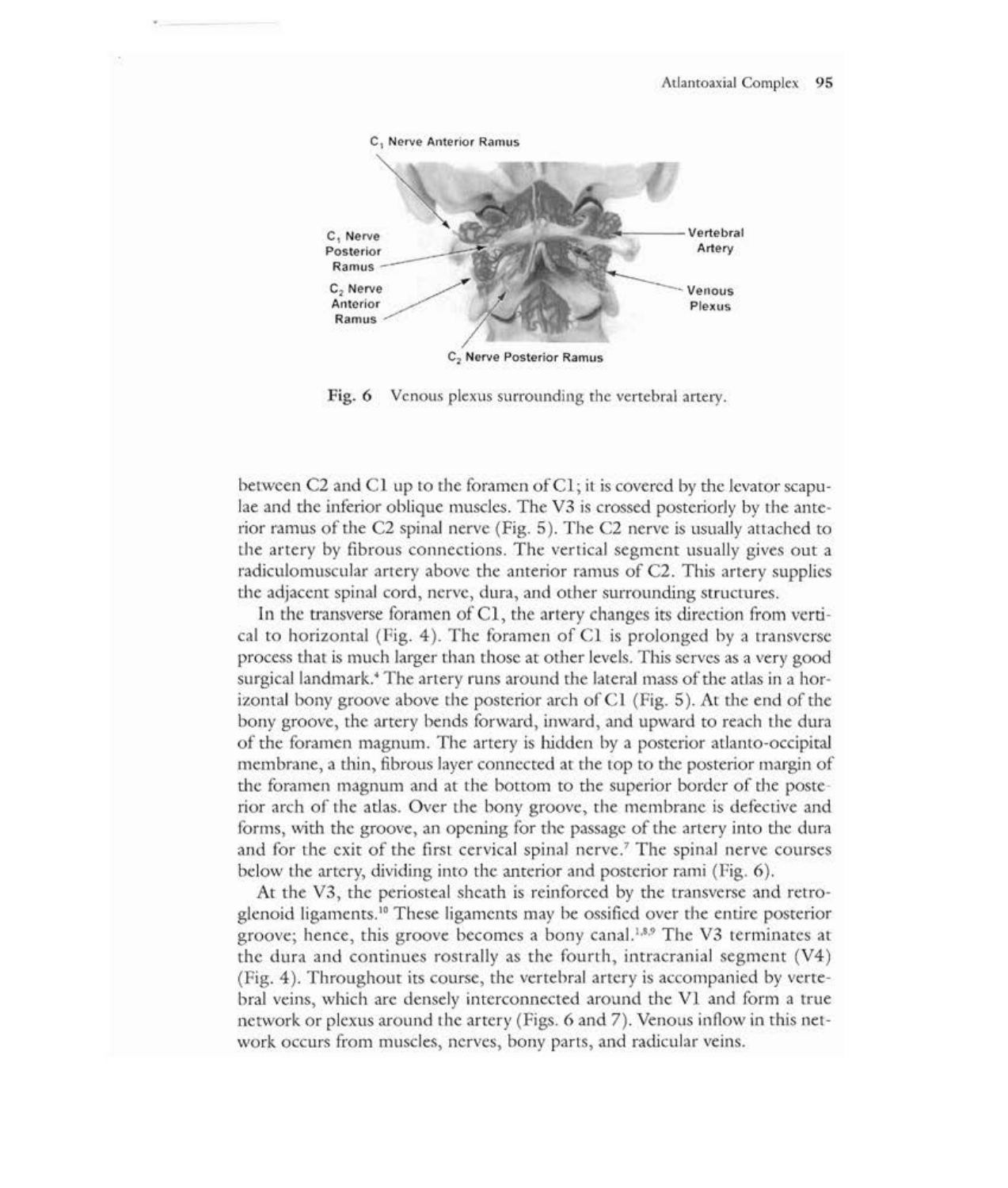

Fig. 6 Venous plexus surrounding the vertebral artery.

between C2 and C1 up to the foramen of C1; it is covered by the levator scapulae and the inferior oblique muscles. The V3 is crossed posteriorly by the anterior ramus of the C2 spinal nerve (Fig.  $5$ ). The C2 nerve is usually attached to the artery by fibrous connections. The vertical segment usually gives out a radiculomuscular artery above the anterior ramus of C2. This artery supplies the adjacent spinal cord, nerve, dura, and other surrounding structures.

In the transverse foramen of CI, the artery changes its direction from vertical to horizontal (Fig. 4). The foramen of CI is prolonged by a transverse process that is much larger than those at other levels. This serves as a very good surgical landmark.<sup>4</sup> The artery runs around the lateral mass of the atlas in a horizontal bony groove above the posterior arch ofCI (Fig. 5). At the end of the bony groove, the artery bends forward, inward, and upward to reach the dura of the foramen magnum. The artery is hidden by a posterior atlanto-occipital membrane, a thin, fibrous layer connected at the top to the posterior margin of the foramen magnum and at the bottom to the superior border of the posterior arch of the atlas. Over the bony groove, the membrane is defective and forms, with the groove, an opening for the passage of the artery into the dura and for the exit of the first cervical spinal nerve.? The spinal nerve courses below the artery, dividing into the anterior and posterior rami (Fig. 6).

At the V3, the periosteal sheath is reinforced by the transverse and retroglenoid ligaments. 1o These ligaments may be ossified over the entire posterior groove; hence, this groove becomes a bony canal.<sup>1,8,9</sup> The V3 terminates at the dura and continues rostrally as the fourth, intracranial segment (V4) (Fig. 4). Throughout its course, the vertebral artery is accompanied by vertebral veins, which are densely interconnected around the VI and form a true network or plexus around the artery (Figs. 6 and 7). Venous inflow in this network occurs from muscles, nerves, bony parts, and radicular veins.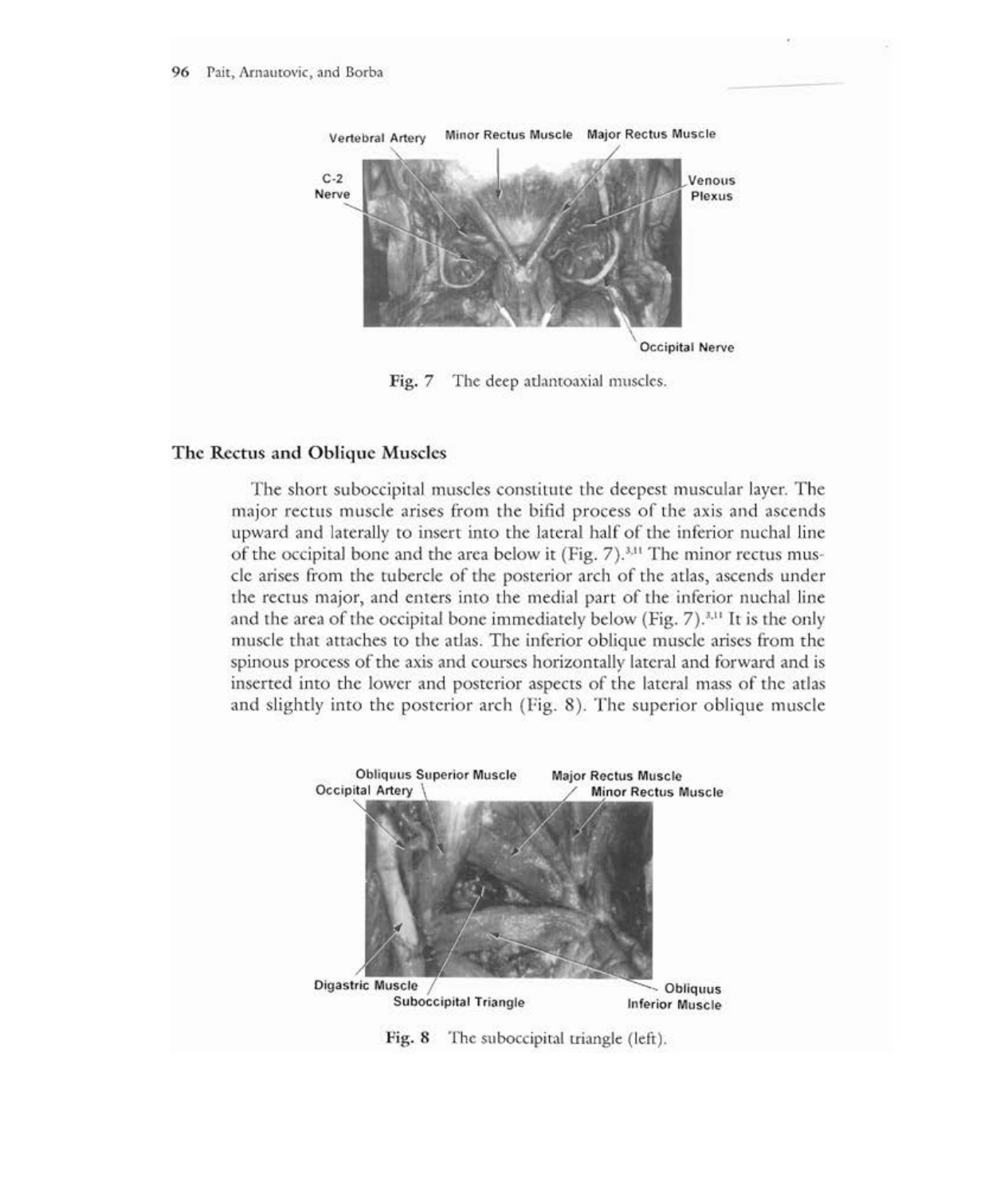

Fig. 7 The deep atlantoaxial muscles.

### **The** Rectus **and Oblique** Muscles

The short suboccipital muscles constitute the deepest muscular layer. The major rectus muscle arises from the bifid process of the axis and ascends upward and laterally to insert into the lateral half of the inferior nuchal line of the occipital bone and the area below it (Fig. 7).3,11 The minor rectus muscle arises from the tubercle of the posterior arch of the atlas, ascends under the rectus major, and enters into the medial part of the inferior nuchal line and the area of the occipital bone immediately below (Fig. 7).<sup>3,11</sup> It is the only muscle that attaches to the atlas. The inferior oblique muscle arises from the spinous process of the axis and courses horizontally lateral and forward and is inserted into the lower and posterior aspects of the lateral mass of the atlas and slightly into the posterior arch (Fig. 8). The superior oblique muscle



Fig. 8 The suboccipital triangle (left).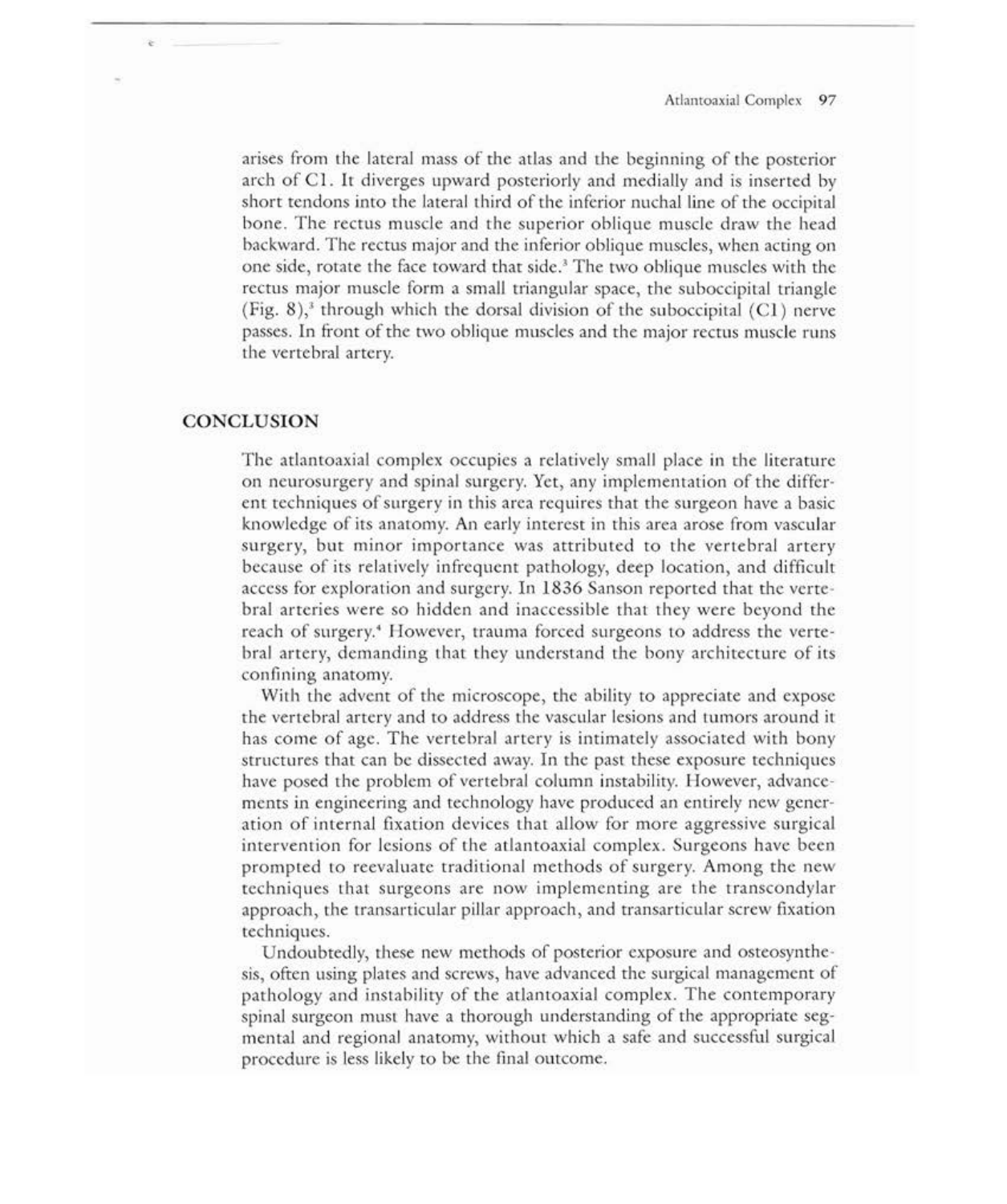arises from the lateral mass of the atlas and the beginning of the posterior arch of Cl. It diverges upward posteriorly and medially and is inserted by short tendons into the lateral third of the inferior nuchal line of the occipital bone. The rectus muscle and the superior oblique muscle draw the head backward. The rectus major and the inferior oblique muscles, when acting on one side, rotate the face toward that side.<sup>3</sup> The two oblique muscles with the rectus major muscle form a small triangular space, the suboccipital triangle (Fig. 8),<sup>3</sup> through which the dorsal division of the suboccipital (C1) nerve passes. In front of the two oblique muscles and the major rectus muscle runs the vertebral artery.

# **CONCLUSION**

The atlantoaxial complex occupies a relatively small place in the literature on neurosurgery and spinal surgery. Yet, any implementation of the different techniques ofsurgery in this area requires that the surgeon have a basic knowledge of its anatomy. An early interest in this area arose from vascular surgery, but minor importance was attributed to the vertebral artery because of its relatively infrequent pathology, deep location, and difficult access for exploration and surgery. In 1836 Sanson reported that the vertebral arteries were so hidden and inaccessible that they were beyond the reach of surgery.<sup>4</sup> However, trauma forced surgeons to address the vertebral artery, demanding that they understand the bony architecture of its confining anatomy.

With the advent of the microscope, the ability to appreciate and expose the vertebral artery and to address the vascular lesions and tumors around it has come of age. The vertebral artery is intimately associated with bony structures that can be dissected away. In the past these exposure techniques have posed the problem of vertebral column instability. However, advancements in engineering and technology have produced an entirely new generation of internal fixation devices that allow for more aggressive surgical intervention for lesions of the atlantoaxial complex. Surgeons have been prompted to reevaluate traditional methods of surgery. Among the new techniques that surgeons are now implementing are the transcondylar approach, the transarticular pillar approach, and transarticular screw fixation techniques.

Undoubtedly, these new methods of posterior exposure and osteosynthesis, often using plates and screws, have advanced the surgical management of pathology and instability of the atlantoaxial complex. The contemporary spinal surgeon must have a thorough understanding of the appropriate segmental and regional anatomy, without which a safe and successful surgical procedure is less likely to be the final outcome.